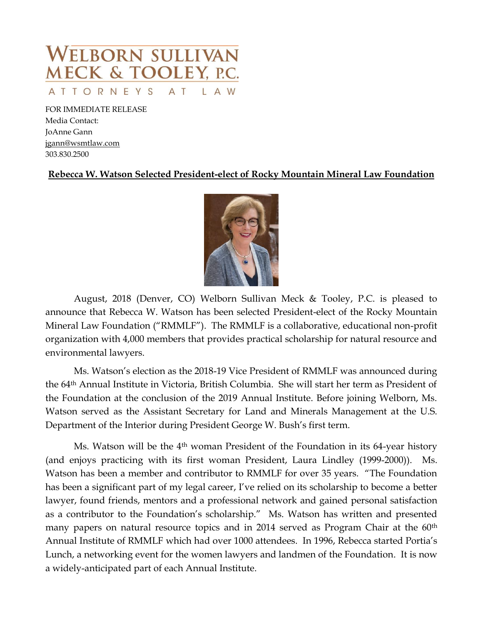

FOR IMMEDIATE RELEASE Media Contact: JoAnne Gann [jgann@wsmtlaw.com](mailto:jgann@wsmtlaw.com) 303.830.2500

## **Rebecca W. Watson Selected President-elect of Rocky Mountain Mineral Law Foundation**



August, 2018 (Denver, CO) Welborn Sullivan Meck & Tooley, P.C. is pleased to announce that Rebecca W. Watson has been selected President-elect of the Rocky Mountain Mineral Law Foundation ("RMMLF"). The RMMLF is a collaborative, educational non-profit organization with 4,000 members that provides practical scholarship for natural resource and environmental lawyers.

Ms. Watson's election as the 2018-19 Vice President of RMMLF was announced during the 64th Annual Institute in Victoria, British Columbia. She will start her term as President of the Foundation at the conclusion of the 2019 Annual Institute. Before joining Welborn, Ms. Watson served as the Assistant Secretary for Land and Minerals Management at the U.S. Department of the Interior during President George W. Bush's first term.

Ms. Watson will be the  $4<sup>th</sup>$  woman President of the Foundation in its 64-year history (and enjoys practicing with its first woman President, Laura Lindley (1999-2000)). Ms. Watson has been a member and contributor to RMMLF for over 35 years. "The Foundation has been a significant part of my legal career, I've relied on its scholarship to become a better lawyer, found friends, mentors and a professional network and gained personal satisfaction as a contributor to the Foundation's scholarship." Ms. Watson has written and presented many papers on natural resource topics and in 2014 served as Program Chair at the 60<sup>th</sup> Annual Institute of RMMLF which had over 1000 attendees. In 1996, Rebecca started Portia's Lunch, a networking event for the women lawyers and landmen of the Foundation. It is now a widely-anticipated part of each Annual Institute.